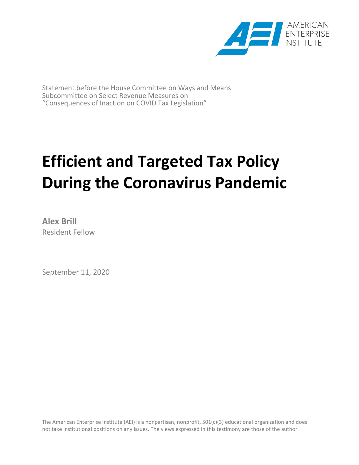

Statement before the House Committee on Ways and Means Subcommittee on Select Revenue Measures on "Consequences of Inaction on COVID Tax Legislation"

# **Efficient and Targeted Tax Policy During the Coronavirus Pandemic**

**Alex Brill** Resident Fellow

September 11, 2020

The American Enterprise Institute (AEI) is a nonpartisan, nonprofit, 501(c)(3) educational organization and does not take institutional positions on any issues. The views expressed in this testimony are those of the author.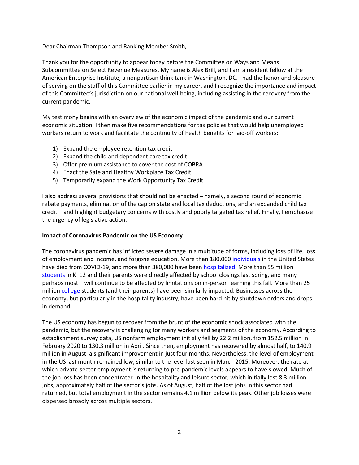Dear Chairman Thompson and Ranking Member Smith,

Thank you for the opportunity to appear today before the Committee on Ways and Means Subcommittee on Select Revenue Measures. My name is Alex Brill, and I am a resident fellow at the American Enterprise Institute, a nonpartisan think tank in Washington, DC. I had the honor and pleasure of serving on the staff of this Committee earlier in my career, and I recognize the importance and impact of this Committee's jurisdiction on our national well-being, including assisting in the recovery from the current pandemic.

My testimony begins with an overview of the economic impact of the pandemic and our current economic situation. I then make five recommendations for tax policies that would help unemployed workers return to work and facilitate the continuity of health benefits for laid-off workers:

- 1) Expand the employee retention tax credit
- 2) Expand the child and dependent care tax credit
- 3) Offer premium assistance to cover the cost of COBRA
- 4) Enact the Safe and Healthy Workplace Tax Credit
- 5) Temporarily expand the Work Opportunity Tax Credit

I also address several provisions that should not be enacted – namely, a second round of economic rebate payments, elimination of the cap on state and local tax deductions, and an expanded child tax credit – and highlight budgetary concerns with costly and poorly targeted tax relief. Finally, I emphasize the urgency of legislative action.

#### **Impact of Coronavirus Pandemic on the US Economy**

The coronavirus pandemic has inflicted severe damage in a multitude of forms, including loss of life, loss of employment and income, and forgone education. More than 180,000 [individuals](https://covidtracking.com/data/national) in the United States have died from COVID-19, and more than 380,000 have been [hospitalized.](https://covidtracking.com/data/national) More than 55 million [students](https://www.edweek.org/ew/section/multimedia/map-coronavirus-and-school-closures.html) in K–12 and their parents were directly affected by school closings last spring, and many – perhaps most – will continue to be affected by limitations on in-person learning this fall. More than 25 million [college](https://www.entangled.solutions/coronavirus-he/) students (and their parents) have been similarly impacted. Businesses across the economy, but particularly in the hospitality industry, have been hard hit by shutdown orders and drops in demand.

The US economy has begun to recover from the brunt of the economic shock associated with the pandemic, but the recovery is challenging for many workers and segments of the economy. According to establishment survey data, US nonfarm employment initially fell by 22.2 million, from 152.5 million in February 2020 to 130.3 million in April. Since then, employment has recovered by almost half, to 140.9 million in August, a significant improvement in just four months. Nevertheless, the level of employment in the US last month remained low, similar to the level last seen in March 2015. Moreover, the rate at which private-sector employment is returning to pre-pandemic levels appears to have slowed. Much of the job loss has been concentrated in the hospitality and leisure sector, which initially lost 8.3 million jobs, approximately half of the sector's jobs. As of August, half of the lost jobs in this sector had returned, but total employment in the sector remains 4.1 million below its peak. Other job losses were dispersed broadly across multiple sectors.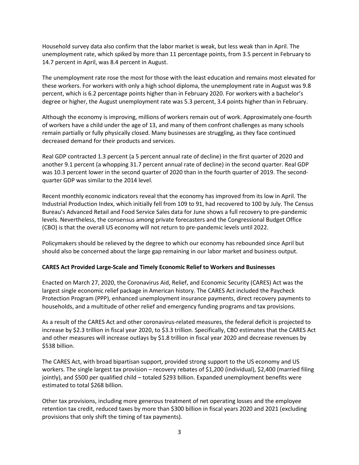Household survey data also confirm that the labor market is weak, but less weak than in April. The unemployment rate, which spiked by more than 11 percentage points, from 3.5 percent in February to 14.7 percent in April, was 8.4 percent in August.

The unemployment rate rose the most for those with the least education and remains most elevated for these workers. For workers with only a high school diploma, the unemployment rate in August was 9.8 percent, which is 6.2 percentage points higher than in February 2020. For workers with a bachelor's degree or higher, the August unemployment rate was 5.3 percent, 3.4 points higher than in February.

Although the economy is improving, millions of workers remain out of work. Approximately one-fourth of workers have a child under the age of 13, and many of them confront challenges as many schools remain partially or fully physically closed. Many businesses are struggling, as they face continued decreased demand for their products and services.

Real GDP contracted 1.3 percent (a 5 percent annual rate of decline) in the first quarter of 2020 and another 9.1 percent (a whopping 31.7 percent annual rate of decline) in the second quarter. Real GDP was 10.3 percent lower in the second quarter of 2020 than in the fourth quarter of 2019. The secondquarter GDP was similar to the 2014 level.

Recent monthly economic indicators reveal that the economy has improved from its low in April. The Industrial Production Index, which initially fell from 109 to 91, had recovered to 100 by July. The Census Bureau's Advanced Retail and Food Service Sales data for June shows a full recovery to pre-pandemic levels. Nevertheless, the consensus among private forecasters and the Congressional Budget Office (CBO) is that the overall US economy will not return to pre-pandemic levels until 2022.

Policymakers should be relieved by the degree to which our economy has rebounded since April but should also be concerned about the large gap remaining in our labor market and business output.

#### **CARES Act Provided Large-Scale and Timely Economic Relief to Workers and Businesses**

Enacted on March 27, 2020, the Coronavirus Aid, Relief, and Economic Security (CARES) Act was the largest single economic relief package in American history. The CARES Act included the Paycheck Protection Program (PPP), enhanced unemployment insurance payments, direct recovery payments to households, and a multitude of other relief and emergency funding programs and tax provisions.

As a result of the CARES Act and other coronavirus-related measures, the federal deficit is projected to increase by \$2.3 trillion in fiscal year 2020, to \$3.3 trillion. Specifically, CBO estimates that the CARES Act and other measures will increase outlays by \$1.8 trillion in fiscal year 2020 and decrease revenues by \$538 billion.

The CARES Act, with broad bipartisan support, provided strong support to the US economy and US workers. The single largest tax provision – recovery rebates of \$1,200 (individual), \$2,400 (married filing jointly), and \$500 per qualified child – totaled \$293 billion. Expanded unemployment benefits were estimated to total \$268 billion.

Other tax provisions, including more generous treatment of net operating losses and the employee retention tax credit, reduced taxes by more than \$300 billion in fiscal years 2020 and 2021 (excluding provisions that only shift the timing of tax payments).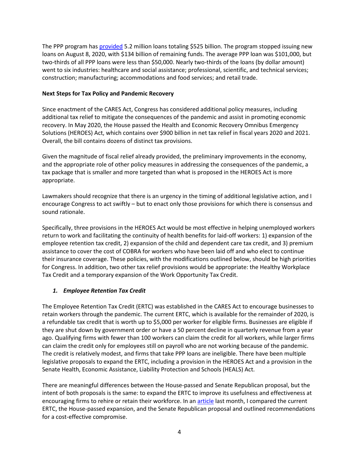The PPP program ha[s provided](https://www.sba.gov/sites/default/files/2020-08/PPP_Report%20-%202020-08-10-508.pdf) 5.2 million loans totaling \$525 billion. The program stopped issuing new loans on August 8, 2020, with \$134 billion of remaining funds. The average PPP loan was \$101,000, but two-thirds of all PPP loans were less than \$50,000. Nearly two-thirds of the loans (by dollar amount) went to six industries: healthcare and social assistance; professional, scientific, and technical services; construction; manufacturing; accommodations and food services; and retail trade.

#### **Next Steps for Tax Policy and Pandemic Recovery**

Since enactment of the CARES Act, Congress has considered additional policy measures, including additional tax relief to mitigate the consequences of the pandemic and assist in promoting economic recovery. In May 2020, the House passed the Health and Economic Recovery Omnibus Emergency Solutions (HEROES) Act, which contains over \$900 billion in net tax relief in fiscal years 2020 and 2021. Overall, the bill contains dozens of distinct tax provisions.

Given the magnitude of fiscal relief already provided, the preliminary improvements in the economy, and the appropriate role of other policy measures in addressing the consequences of the pandemic, a tax package that is smaller and more targeted than what is proposed in the HEROES Act is more appropriate.

Lawmakers should recognize that there is an urgency in the timing of additional legislative action, and I encourage Congress to act swiftly – but to enact only those provisions for which there is consensus and sound rationale.

Specifically, three provisions in the HEROES Act would be most effective in helping unemployed workers return to work and facilitating the continuity of health benefits for laid-off workers: 1) expansion of the employee retention tax credit, 2) expansion of the child and dependent care tax credit, and 3) premium assistance to cover the cost of COBRA for workers who have been laid off and who elect to continue their insurance coverage. These policies, with the modifications outlined below, should be high priorities for Congress. In addition, two other tax relief provisions would be appropriate: the Healthy Workplace Tax Credit and a temporary expansion of the Work Opportunity Tax Credit.

## *1. Employee Retention Tax Credit*

The Employee Retention Tax Credit (ERTC) was established in the CARES Act to encourage businesses to retain workers through the pandemic. The current ERTC, which is available for the remainder of 2020, is a refundable tax credit that is worth up to \$5,000 per worker for eligible firms. Businesses are eligible if they are shut down by government order or have a 50 percent decline in quarterly revenue from a year ago. Qualifying firms with fewer than 100 workers can claim the credit for all workers, while larger firms can claim the credit only for employees still on payroll who are not working because of the pandemic. The credit is relatively modest, and firms that take PPP loans are ineligible. There have been multiple legislative proposals to expand the ERTC, including a provision in the HEROES Act and a provision in the Senate Health, Economic Assistance, Liability Protection and Schools (HEALS) Act.

There are meaningful differences between the House-passed and Senate Republican proposal, but the intent of both proposals is the same: to expand the ERTC to improve its usefulness and effectiveness at encouraging firms to rehire or retain their workforce. In an [article](https://www.aei.org/economics/toward-a-better-employee-retention-tax-credit/) last month, I compared the current ERTC, the House-passed expansion, and the Senate Republican proposal and outlined recommendations for a cost-effective compromise.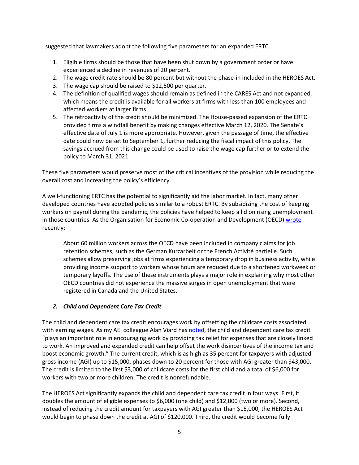I suggested that lawmakers adopt the following five parameters for an expanded ERTC.

- 1. Eligible firms should be those that have been shut down by a government order or have experienced a decline in revenues of 20 percent.
- 2. The wage credit rate should be 80 percent but without the phase-in included in the HEROES Act.
- 3. The wage cap should be raised to \$12,500 per quarter.
- 4. The definition of qualified wages should remain as defined in the CARES Act and not expanded, which means the credit is available for all workers at firms with less than 100 employees and affected workers at larger firms.
- 5. The retroactivity of the credit should be minimized. The House-passed expansion of the ERTC provided firms a windfall benefit by making changes effective March 12, 2020. The Senate's effective date of July 1 is more appropriate. However, given the passage of time, the effective date could now be set to September 1, further reducing the fiscal impact of this policy. The savings accrued from this change could be used to raise the wage cap further or to extend the policy to March 31, 2021.

These five parameters would preserve most of the critical incentives of the provision while reducing the overall cost and increasing the policy's efficiency.

A well-functioning ERTC has the potential to significantly aid the labor market. In fact, many other developed countries have adopted policies similar to a robust ERTC. By subsidizing the cost of keeping workers on payroll during the pandemic, the policies have helped to keep a lid on rising unemployment in those countries. As the Organisation for Economic Co-operation and Development (OECD) [wrote](https://www.oecd-ilibrary.org/employment/oecd-employment-outlook-2020_1686c758-en) recently:

About 60 million workers across the OECD have been included in company claims for job retention schemes, such as the German Kurzarbeit or the French Activité partielle. Such schemes allow preserving jobs at firms experiencing a temporary drop in business activity, while providing income support to workers whose hours are reduced due to a shortened workweek or temporary layoffs. The use of these instruments plays a major role in explaining why most other OECD countries did not experience the massive surges in open unemployment that were registered in Canada and the United States.

#### *2. Child and Dependent Care Tax Credit*

The child and dependent care tax credit encourages work by offsetting the childcare costs associated with earning wages. As my AEI colleague Alan Viard has [noted,](https://www.aei.org/articles/the-child-care-tax-credit-not-just-another-middle-income-tax-break/) the child and dependent care tax credit "plays an important role in encouraging work by providing tax relief for expenses that are closely linked to work. An improved and expanded credit can help offset the work disincentives of the income tax and boost economic growth." The current credit, which is as high as 35 percent for taxpayers with adjusted gross income (AGI) up to \$15,000, phases down to 20 percent for those with AGI greater than \$43,000. The credit is limited to the first \$3,000 of childcare costs for the first child and a total of \$6,000 for workers with two or more children. The credit is nonrefundable.

The HEROES Act significantly expands the child and dependent care tax credit in four ways. First, it doubles the amount of eligible expenses to \$6,000 (one child) and \$12,000 (two or more). Second, instead of reducing the credit amount for taxpayers with AGI greater than \$15,000, the HEROES Act would begin to phase down the credit at AGI of \$120,000. Third, the credit would become fully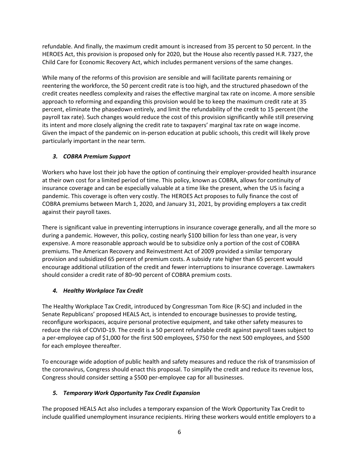refundable. And finally, the maximum credit amount is increased from 35 percent to 50 percent. In the HEROES Act, this provision is proposed only for 2020, but the House also recently passed H.R. 7327, the Child Care for Economic Recovery Act, which includes permanent versions of the same changes.

While many of the reforms of this provision are sensible and will facilitate parents remaining or reentering the workforce, the 50 percent credit rate is too high, and the structured phasedown of the credit creates needless complexity and raises the effective marginal tax rate on income. A more sensible approach to reforming and expanding this provision would be to keep the maximum credit rate at 35 percent, eliminate the phasedown entirely, and limit the refundability of the credit to 15 percent (the payroll tax rate). Such changes would reduce the cost of this provision significantly while still preserving its intent and more closely aligning the credit rate to taxpayers' marginal tax rate on wage income. Given the impact of the pandemic on in-person education at public schools, this credit will likely prove particularly important in the near term.

## *3. COBRA Premium Support*

Workers who have lost their job have the option of continuing their employer-provided health insurance at their own cost for a limited period of time. This policy, known as COBRA, allows for continuity of insurance coverage and can be especially valuable at a time like the present, when the US is facing a pandemic. This coverage is often very costly. The HEROES Act proposes to fully finance the cost of COBRA premiums between March 1, 2020, and January 31, 2021, by providing employers a tax credit against their payroll taxes.

There is significant value in preventing interruptions in insurance coverage generally, and all the more so during a pandemic. However, this policy, costing nearly \$100 billion for less than one year, is very expensive. A more reasonable approach would be to subsidize only a portion of the cost of COBRA premiums. The American Recovery and Reinvestment Act of 2009 provided a similar temporary provision and subsidized 65 percent of premium costs. A subsidy rate higher than 65 percent would encourage additional utilization of the credit and fewer interruptions to insurance coverage. Lawmakers should consider a credit rate of 80–90 percent of COBRA premium costs.

# *4. Healthy Workplace Tax Credit*

The Healthy Workplace Tax Credit, introduced by Congressman Tom Rice (R-SC) and included in the Senate Republicans' proposed HEALS Act, is intended to encourage businesses to provide testing, reconfigure workspaces, acquire personal protective equipment, and take other safety measures to reduce the risk of COVID-19. The credit is a 50 percent refundable credit against payroll taxes subject to a per-employee cap of \$1,000 for the first 500 employees, \$750 for the next 500 employees, and \$500 for each employee thereafter.

To encourage wide adoption of public health and safety measures and reduce the risk of transmission of the coronavirus, Congress should enact this proposal. To simplify the credit and reduce its revenue loss, Congress should consider setting a \$500 per-employee cap for all businesses.

# *5. Temporary Work Opportunity Tax Credit Expansion*

The proposed HEALS Act also includes a temporary expansion of the Work Opportunity Tax Credit to include qualified unemployment insurance recipients. Hiring these workers would entitle employers to a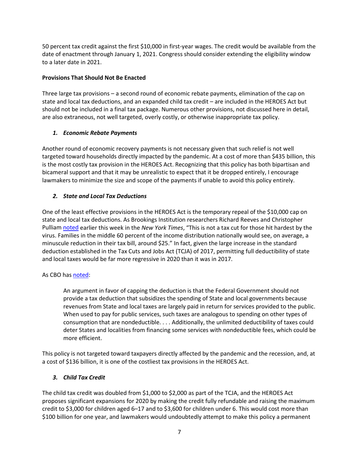50 percent tax credit against the first \$10,000 in first-year wages. The credit would be available from the date of enactment through January 1, 2021. Congress should consider extending the eligibility window to a later date in 2021.

## **Provisions That Should Not Be Enacted**

Three large tax provisions – a second round of economic rebate payments, elimination of the cap on state and local tax deductions, and an expanded child tax credit – are included in the HEROES Act but should not be included in a final tax package. Numerous other provisions, not discussed here in detail, are also extraneous, not well targeted, overly costly, or otherwise inappropriate tax policy.

## *1. Economic Rebate Payments*

Another round of economic recovery payments is not necessary given that such relief is not well targeted toward households directly impacted by the pandemic. At a cost of more than \$435 billion, this is the most costly tax provision in the HEROES Act. Recognizing that this policy has both bipartisan and bicameral support and that it may be unrealistic to expect that it be dropped entirely, I encourage lawmakers to minimize the size and scope of the payments if unable to avoid this policy entirely.

# *2. State and Local Tax Deductions*

One of the least effective provisions in the HEROES Act is the temporary repeal of the \$10,000 cap on state and local tax deductions. As Brookings Institution researchers Richard Reeves and Christopher Pullia[m noted](https://www.nytimes.com/2020/09/07/opinion/salt-tax-deduction-cut.html) earlier this week in the *New York Times*, "This is not a tax cut for those hit hardest by the virus. Families in the middle 60 percent of the income distribution nationally would see, on average, a minuscule reduction in their tax bill, around \$25." In fact, given the large increase in the standard deduction established in the Tax Cuts and Jobs Act (TCJA) of 2017, permitting full deductibility of state and local taxes would be far more regressive in 2020 than it was in 2017.

# As CBO ha[s noted:](http://www.cbo.gov/budget-options/2016/52253)

An argument in favor of capping the deduction is that the Federal Government should not provide a tax deduction that subsidizes the spending of State and local governments because revenues from State and local taxes are largely paid in return for services provided to the public. When used to pay for public services, such taxes are analogous to spending on other types of consumption that are nondeductible. . . . Additionally, the unlimited deductibility of taxes could deter States and localities from financing some services with nondeductible fees, which could be more efficient.

This policy is not targeted toward taxpayers directly affected by the pandemic and the recession, and, at a cost of \$136 billion, it is one of the costliest tax provisions in the HEROES Act.

# *3. Child Tax Credit*

The child tax credit was doubled from \$1,000 to \$2,000 as part of the TCJA, and the HEROES Act proposes significant expansions for 2020 by making the credit fully refundable and raising the maximum credit to \$3,000 for children aged 6–17 and to \$3,600 for children under 6. This would cost more than \$100 billion for one year, and lawmakers would undoubtedly attempt to make this policy a permanent